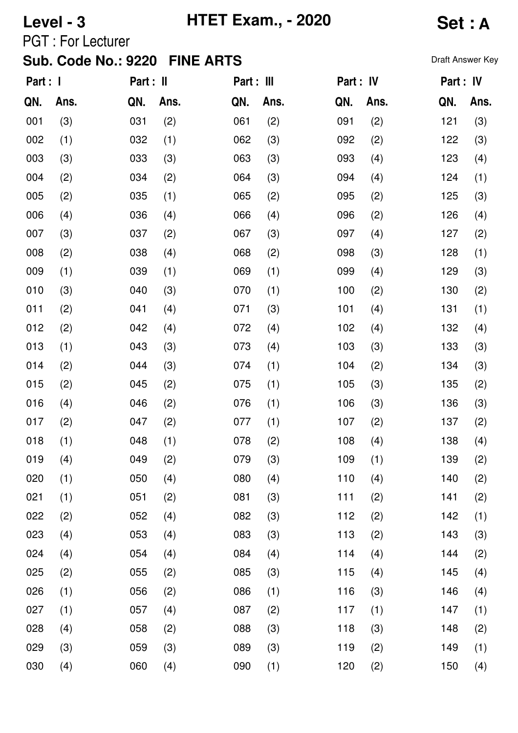**Level - 3 HTET Exam., - 2020 Set : A**

PGT : For Lecturer

| Part : I |      | Part : II |      | Part : III |      | Part : IV |      | Part : IV |      |
|----------|------|-----------|------|------------|------|-----------|------|-----------|------|
| QN.      | Ans. | QN.       | Ans. | QN.        | Ans. | QN.       | Ans. | QN.       | Ans. |
| 001      | (3)  | 031       | (2)  | 061        | (2)  | 091       | (2)  | 121       | (3)  |
| 002      | (1)  | 032       | (1)  | 062        | (3)  | 092       | (2)  | 122       | (3)  |
| 003      | (3)  | 033       | (3)  | 063        | (3)  | 093       | (4)  | 123       | (4)  |
| 004      | (2)  | 034       | (2)  | 064        | (3)  | 094       | (4)  | 124       | (1)  |
| 005      | (2)  | 035       | (1)  | 065        | (2)  | 095       | (2)  | 125       | (3)  |
| 006      | (4)  | 036       | (4)  | 066        | (4)  | 096       | (2)  | 126       | (4)  |
| 007      | (3)  | 037       | (2)  | 067        | (3)  | 097       | (4)  | 127       | (2)  |
| 008      | (2)  | 038       | (4)  | 068        | (2)  | 098       | (3)  | 128       | (1)  |
| 009      | (1)  | 039       | (1)  | 069        | (1)  | 099       | (4)  | 129       | (3)  |
| 010      | (3)  | 040       | (3)  | 070        | (1)  | 100       | (2)  | 130       | (2)  |
| 011      | (2)  | 041       | (4)  | 071        | (3)  | 101       | (4)  | 131       | (1)  |
| 012      | (2)  | 042       | (4)  | 072        | (4)  | 102       | (4)  | 132       | (4)  |
| 013      | (1)  | 043       | (3)  | 073        | (4)  | 103       | (3)  | 133       | (3)  |
| 014      | (2)  | 044       | (3)  | 074        | (1)  | 104       | (2)  | 134       | (3)  |
| 015      | (2)  | 045       | (2)  | 075        | (1)  | 105       | (3)  | 135       | (2)  |
| 016      | (4)  | 046       | (2)  | 076        | (1)  | 106       | (3)  | 136       | (3)  |
| 017      | (2)  | 047       | (2)  | 077        | (1)  | 107       | (2)  | 137       | (2)  |
| 018      | (1)  | 048       | (1)  | 078        | (2)  | 108       | (4)  | 138       | (4)  |
| 019      | (4)  | 049       | (2)  | 079        | (3)  | 109       | (1)  | 139       | (2)  |
| 020      | (1)  | 050       | (4)  | 080        | (4)  | 110       | (4)  | 140       | (2)  |
| 021      | (1)  | 051       | (2)  | 081        | (3)  | 111       | (2)  | 141       | (2)  |
| 022      | (2)  | 052       | (4)  | 082        | (3)  | 112       | (2)  | 142       | (1)  |
| 023      | (4)  | 053       | (4)  | 083        | (3)  | 113       | (2)  | 143       | (3)  |
| 024      | (4)  | 054       | (4)  | 084        | (4)  | 114       | (4)  | 144       | (2)  |
| 025      | (2)  | 055       | (2)  | 085        | (3)  | 115       | (4)  | 145       | (4)  |
| 026      | (1)  | 056       | (2)  | 086        | (1)  | 116       | (3)  | 146       | (4)  |
| 027      | (1)  | 057       | (4)  | 087        | (2)  | 117       | (1)  | 147       | (1)  |
| 028      | (4)  | 058       | (2)  | 088        | (3)  | 118       | (3)  | 148       | (2)  |
| 029      | (3)  | 059       | (3)  | 089        | (3)  | 119       | (2)  | 149       | (1)  |
| 030      | (4)  | 060       | (4)  | 090        | (1)  | 120       | (2)  | 150       | (4)  |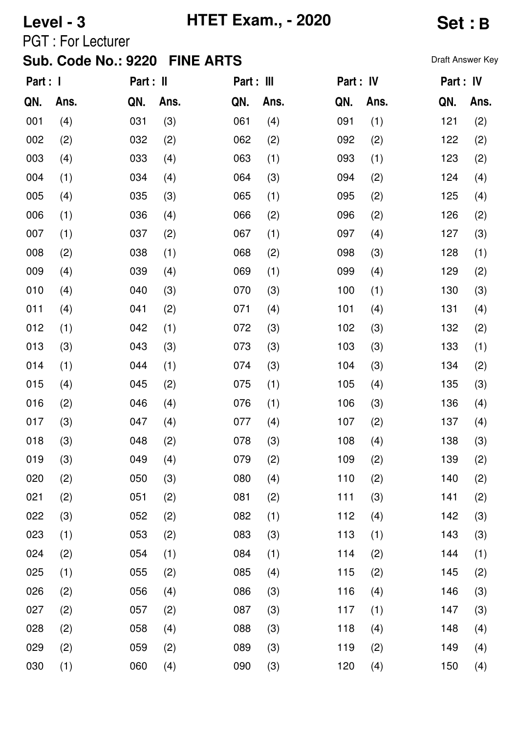**Level - 3 HTET Exam., - 2020 Set : B**

PGT : For Lecturer

| Part : 1 |      | Part : II |      | Part : III |      | Part : IV |      | Part : IV |      |
|----------|------|-----------|------|------------|------|-----------|------|-----------|------|
| QN.      | Ans. | QN.       | Ans. | QN.        | Ans. | QN.       | Ans. | QN.       | Ans. |
| 001      | (4)  | 031       | (3)  | 061        | (4)  | 091       | (1)  | 121       | (2)  |
| 002      | (2)  | 032       | (2)  | 062        | (2)  | 092       | (2)  | 122       | (2)  |
| 003      | (4)  | 033       | (4)  | 063        | (1)  | 093       | (1)  | 123       | (2)  |
| 004      | (1)  | 034       | (4)  | 064        | (3)  | 094       | (2)  | 124       | (4)  |
| 005      | (4)  | 035       | (3)  | 065        | (1)  | 095       | (2)  | 125       | (4)  |
| 006      | (1)  | 036       | (4)  | 066        | (2)  | 096       | (2)  | 126       | (2)  |
| 007      | (1)  | 037       | (2)  | 067        | (1)  | 097       | (4)  | 127       | (3)  |
| 008      | (2)  | 038       | (1)  | 068        | (2)  | 098       | (3)  | 128       | (1)  |
| 009      | (4)  | 039       | (4)  | 069        | (1)  | 099       | (4)  | 129       | (2)  |
| 010      | (4)  | 040       | (3)  | 070        | (3)  | 100       | (1)  | 130       | (3)  |
| 011      | (4)  | 041       | (2)  | 071        | (4)  | 101       | (4)  | 131       | (4)  |
| 012      | (1)  | 042       | (1)  | 072        | (3)  | 102       | (3)  | 132       | (2)  |
| 013      | (3)  | 043       | (3)  | 073        | (3)  | 103       | (3)  | 133       | (1)  |
| 014      | (1)  | 044       | (1)  | 074        | (3)  | 104       | (3)  | 134       | (2)  |
| 015      | (4)  | 045       | (2)  | 075        | (1)  | 105       | (4)  | 135       | (3)  |
| 016      | (2)  | 046       | (4)  | 076        | (1)  | 106       | (3)  | 136       | (4)  |
| 017      | (3)  | 047       | (4)  | 077        | (4)  | 107       | (2)  | 137       | (4)  |
| 018      | (3)  | 048       | (2)  | 078        | (3)  | 108       | (4)  | 138       | (3)  |
| 019      | (3)  | 049       | (4)  | 079        | (2)  | 109       | (2)  | 139       | (2)  |
| 020      | (2)  | 050       | (3)  | 080        | (4)  | 110       | (2)  | 140       | (2)  |
| 021      | (2)  | 051       | (2)  | 081        | (2)  | 111       | (3)  | 141       | (2)  |
| 022      | (3)  | 052       | (2)  | 082        | (1)  | 112       | (4)  | 142       | (3)  |
| 023      | (1)  | 053       | (2)  | 083        | (3)  | 113       | (1)  | 143       | (3)  |
| 024      | (2)  | 054       | (1)  | 084        | (1)  | 114       | (2)  | 144       | (1)  |
| 025      | (1)  | 055       | (2)  | 085        | (4)  | 115       | (2)  | 145       | (2)  |
| 026      | (2)  | 056       | (4)  | 086        | (3)  | 116       | (4)  | 146       | (3)  |
| 027      | (2)  | 057       | (2)  | 087        | (3)  | 117       | (1)  | 147       | (3)  |
| 028      | (2)  | 058       | (4)  | 088        | (3)  | 118       | (4)  | 148       | (4)  |
| 029      | (2)  | 059       | (2)  | 089        | (3)  | 119       | (2)  | 149       | (4)  |
| 030      | (1)  | 060       | (4)  | 090        | (3)  | 120       | (4)  | 150       | (4)  |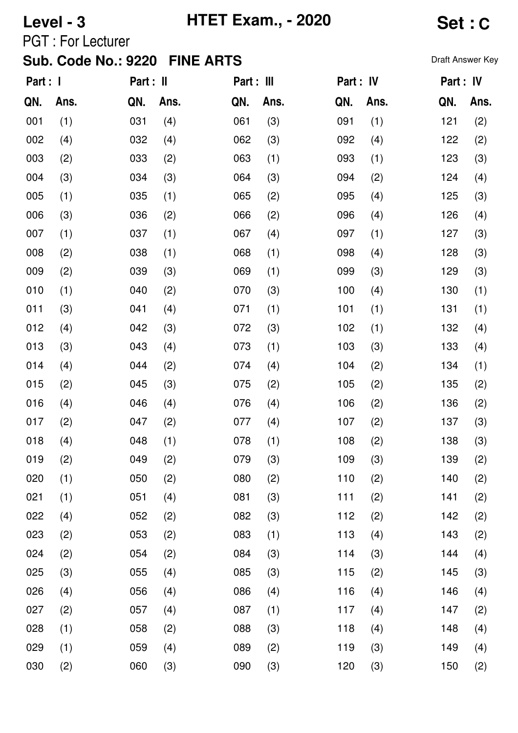**Level - 3 HTET Exam., - 2020 Set : C**

PGT : For Lecturer

| Part : I |      | Part : II |      | Part : III |      | Part : IV |      | Part : IV |      |
|----------|------|-----------|------|------------|------|-----------|------|-----------|------|
| QN.      | Ans. | QN.       | Ans. | QN.        | Ans. | QN.       | Ans. | QN.       | Ans. |
| 001      | (1)  | 031       | (4)  | 061        | (3)  | 091       | (1)  | 121       | (2)  |
| 002      | (4)  | 032       | (4)  | 062        | (3)  | 092       | (4)  | 122       | (2)  |
| 003      | (2)  | 033       | (2)  | 063        | (1)  | 093       | (1)  | 123       | (3)  |
| 004      | (3)  | 034       | (3)  | 064        | (3)  | 094       | (2)  | 124       | (4)  |
| 005      | (1)  | 035       | (1)  | 065        | (2)  | 095       | (4)  | 125       | (3)  |
| 006      | (3)  | 036       | (2)  | 066        | (2)  | 096       | (4)  | 126       | (4)  |
| 007      | (1)  | 037       | (1)  | 067        | (4)  | 097       | (1)  | 127       | (3)  |
| 008      | (2)  | 038       | (1)  | 068        | (1)  | 098       | (4)  | 128       | (3)  |
| 009      | (2)  | 039       | (3)  | 069        | (1)  | 099       | (3)  | 129       | (3)  |
| 010      | (1)  | 040       | (2)  | 070        | (3)  | 100       | (4)  | 130       | (1)  |
| 011      | (3)  | 041       | (4)  | 071        | (1)  | 101       | (1)  | 131       | (1)  |
| 012      | (4)  | 042       | (3)  | 072        | (3)  | 102       | (1)  | 132       | (4)  |
| 013      | (3)  | 043       | (4)  | 073        | (1)  | 103       | (3)  | 133       | (4)  |
| 014      | (4)  | 044       | (2)  | 074        | (4)  | 104       | (2)  | 134       | (1)  |
| 015      | (2)  | 045       | (3)  | 075        | (2)  | 105       | (2)  | 135       | (2)  |
| 016      | (4)  | 046       | (4)  | 076        | (4)  | 106       | (2)  | 136       | (2)  |
| 017      | (2)  | 047       | (2)  | 077        | (4)  | 107       | (2)  | 137       | (3)  |
| 018      | (4)  | 048       | (1)  | 078        | (1)  | 108       | (2)  | 138       | (3)  |
| 019      | (2)  | 049       | (2)  | 079        | (3)  | 109       | (3)  | 139       | (2)  |
| 020      | (1)  | 050       | (2)  | 080        | (2)  | 110       | (2)  | 140       | (2)  |
| 021      | (1)  | 051       | (4)  | 081        | (3)  | 111       | (2)  | 141       | (2)  |
| 022      | (4)  | 052       | (2)  | 082        | (3)  | 112       | (2)  | 142       | (2)  |
| 023      | (2)  | 053       | (2)  | 083        | (1)  | 113       | (4)  | 143       | (2)  |
| 024      | (2)  | 054       | (2)  | 084        | (3)  | 114       | (3)  | 144       | (4)  |
| 025      | (3)  | 055       | (4)  | 085        | (3)  | 115       | (2)  | 145       | (3)  |
| 026      | (4)  | 056       | (4)  | 086        | (4)  | 116       | (4)  | 146       | (4)  |
| 027      | (2)  | 057       | (4)  | 087        | (1)  | 117       | (4)  | 147       | (2)  |
| 028      | (1)  | 058       | (2)  | 088        | (3)  | 118       | (4)  | 148       | (4)  |
| 029      | (1)  | 059       | (4)  | 089        | (2)  | 119       | (3)  | 149       | (4)  |
| 030      | (2)  | 060       | (3)  | 090        | (3)  | 120       | (3)  | 150       | (2)  |